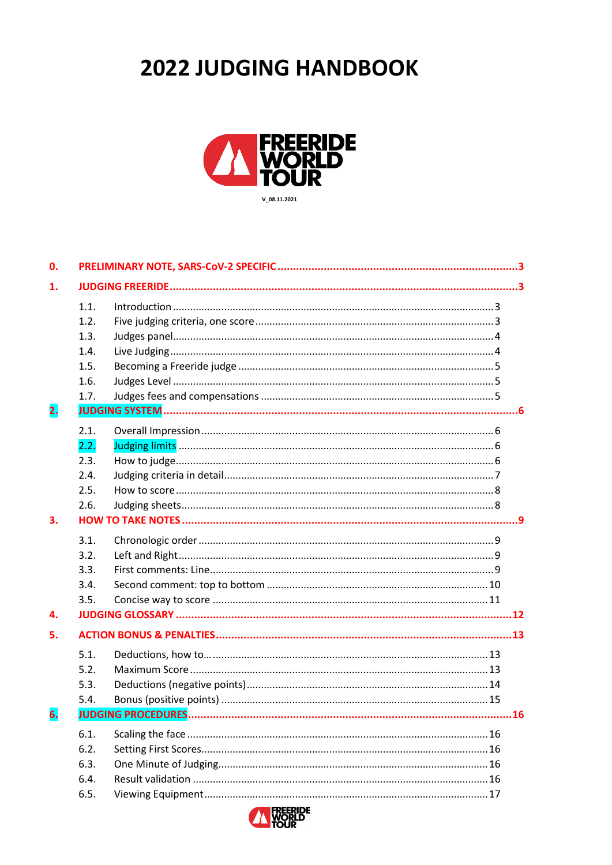# 2022 JUDGING HANDBOOK



| 0. |      |     |
|----|------|-----|
| 1. |      |     |
|    | 1.1. |     |
|    | 1.2. |     |
|    | 1.3. |     |
|    | 1.4. |     |
|    | 1.5. |     |
|    | 1.6. |     |
|    | 1.7. |     |
| 2. |      |     |
|    | 2.1. |     |
|    | 2.2. |     |
|    | 2.3. |     |
|    | 2.4. |     |
|    | 2.5. |     |
|    | 2.6. |     |
| 3. |      |     |
|    | 3.1. |     |
|    | 3.2. |     |
|    | 3.3. |     |
|    | 3.4. |     |
|    | 3.5. |     |
| 4. |      |     |
| 5. |      |     |
|    | 5.1. |     |
|    | 5.2. |     |
|    | 5.3. |     |
|    | 5.4. |     |
| 6. |      | .16 |
|    | 6.1. |     |
|    | 6.2. |     |
|    | 6.3. |     |
|    | 6.4. |     |
|    | 6.5. |     |

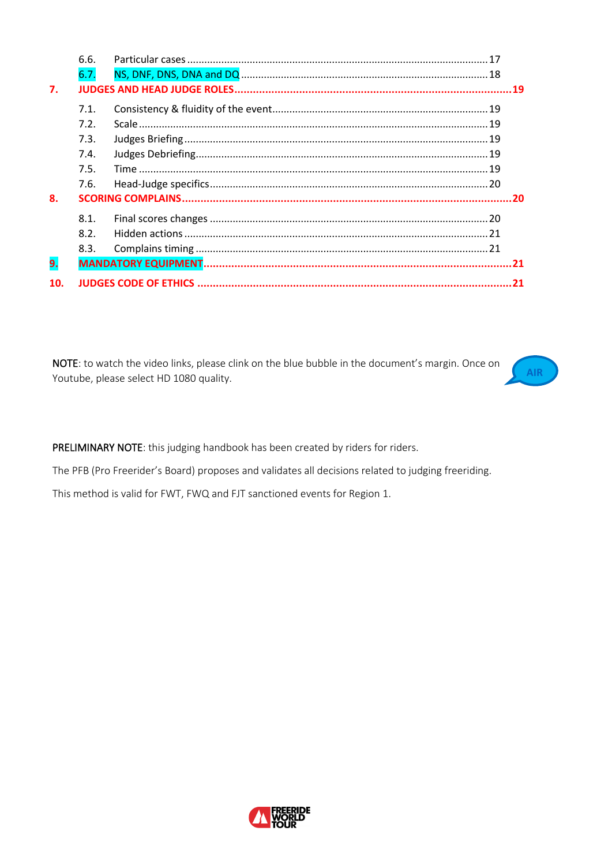|     | 6.6. |  |  |
|-----|------|--|--|
|     | 6.7. |  |  |
| 7.  |      |  |  |
|     | 7.1. |  |  |
|     | 7.2. |  |  |
|     | 7.3. |  |  |
|     | 7.4. |  |  |
|     | 7.5. |  |  |
|     | 7.6. |  |  |
| 8.  |      |  |  |
|     | 8.1. |  |  |
|     | 8.2. |  |  |
|     | 8.3. |  |  |
| 9.  |      |  |  |
| 10. |      |  |  |

NOTE: to watch the video links, please clink on the blue bubble in the document's margin. Once on Youtube, please select HD 1080 quality.



PRELIMINARY NOTE: this judging handbook has been created by riders for riders.

The PFB (Pro Freerider's Board) proposes and validates all decisions related to judging freeriding.

This method is valid for FWT, FWQ and FJT sanctioned events for Region 1.

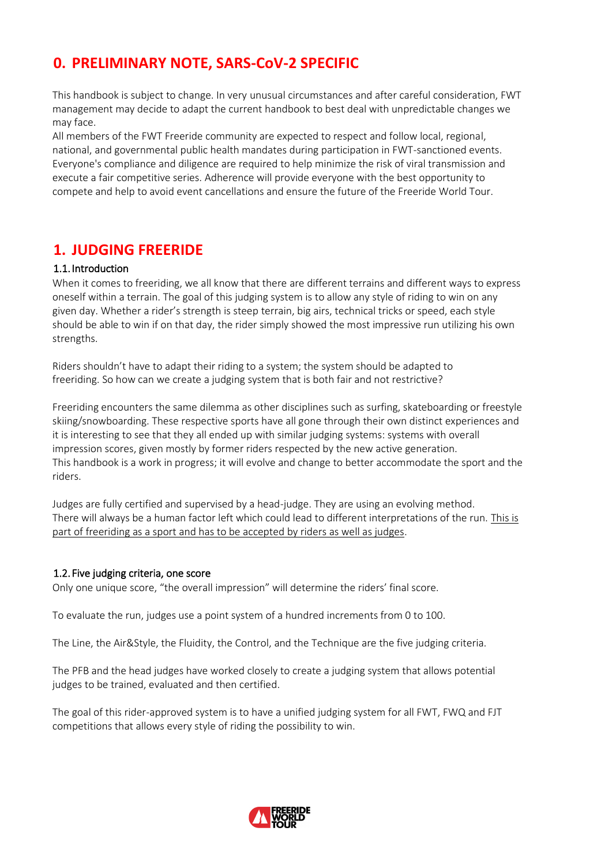## <span id="page-2-0"></span>**0. PRELIMINARY NOTE, SARS-CoV-2 SPECIFIC**

This handbook is subject to change. In very unusual circumstances and after careful consideration, FWT management may decide to adapt the current handbook to best deal with unpredictable changes we may face.

All members of the FWT Freeride community are expected to respect and follow local, regional, national, and governmental public health mandates during participation in FWT-sanctioned events. Everyone's compliance and diligence are required to help minimize the risk of viral transmission and execute a fair competitive series. Adherence will provide everyone with the best opportunity to compete and help to avoid event cancellations and ensure the future of the Freeride World Tour.

### <span id="page-2-1"></span>**1. JUDGING FREERIDE**

### <span id="page-2-2"></span>1.1. Introduction

When it comes to freeriding, we all know that there are different terrains and different ways to express oneself within a terrain. The goal of this judging system is to allow any style of riding to win on any given day. Whether a rider's strength is steep terrain, big airs, technical tricks or speed, each style should be able to win if on that day, the rider simply showed the most impressive run utilizing his own strengths.

Riders shouldn't have to adapt their riding to a system; the system should be adapted to freeriding. So how can we create a judging system that is both fair and not restrictive?

Freeriding encounters the same dilemma as other disciplines such as surfing, skateboarding or freestyle skiing/snowboarding. These respective sports have all gone through their own distinct experiences and it is interesting to see that they all ended up with similar judging systems: systems with overall impression scores, given mostly by former riders respected by the new active generation. This handbook is a work in progress; it will evolve and change to better accommodate the sport and the riders.

Judges are fully certified and supervised by a head-judge. They are using an evolving method. There will always be a human factor left which could lead to different interpretations of the run. This is part of freeriding as a sport and has to be accepted by riders as well as judges.

### <span id="page-2-3"></span>1.2. Five judging criteria, one score

Only one unique score, "the overall impression" will determine the riders' final score.

To evaluate the run, judges use a point system of a hundred increments from 0 to 100.

The Line, the Air&Style, the Fluidity, the Control, and the Technique are the five judging criteria.

The PFB and the head judges have worked closely to create a judging system that allows potential judges to be trained, evaluated and then certified.

The goal of this rider-approved system is to have a unified judging system for all FWT, FWQ and FJT competitions that allows every style of riding the possibility to win.

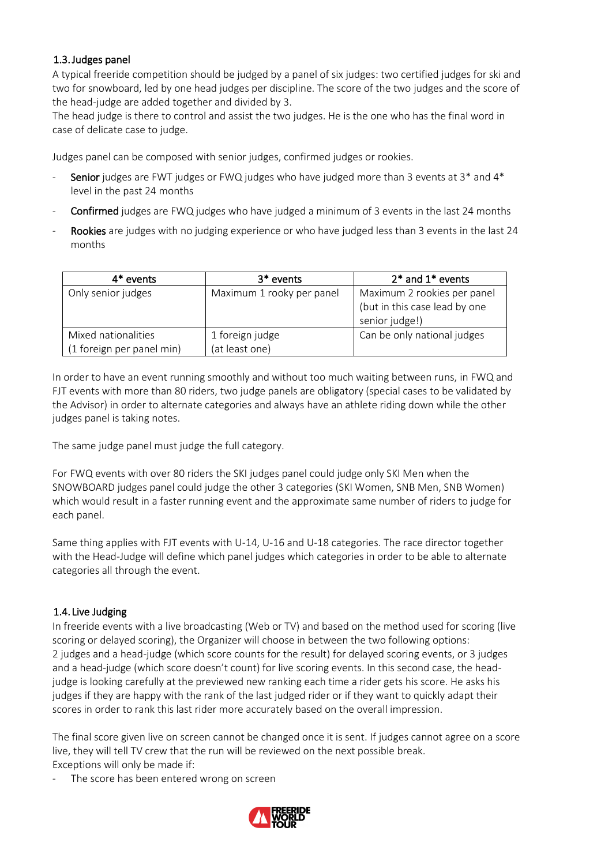### <span id="page-3-0"></span>1.3.Judges panel

A typical freeride competition should be judged by a panel of six judges: two certified judges for ski and two for snowboard, led by one head judges per discipline. The score of the two judges and the score of the head-judge are added together and divided by 3.

The head judge is there to control and assist the two judges. He is the one who has the final word in case of delicate case to judge.

Judges panel can be composed with senior judges, confirmed judges or rookies.

- Senior judges are FWT judges or FWQ judges who have judged more than 3 events at  $3^*$  and  $4^*$ level in the past 24 months
- Confirmed judges are FWQ judges who have judged a minimum of 3 events in the last 24 months
- Rookies are judges with no judging experience or who have judged less than 3 events in the last 24 months

| 4* events                 | $3*$ events               | $2*$ and $1*$ events          |
|---------------------------|---------------------------|-------------------------------|
| Only senior judges        | Maximum 1 rooky per panel | Maximum 2 rookies per panel   |
|                           |                           | (but in this case lead by one |
|                           |                           | senior judge!)                |
| Mixed nationalities       | 1 foreign judge           | Can be only national judges   |
| (1 foreign per panel min) | (at least one)            |                               |

In order to have an event running smoothly and without too much waiting between runs, in FWQ and FJT events with more than 80 riders, two judge panels are obligatory (special cases to be validated by the Advisor) in order to alternate categories and always have an athlete riding down while the other judges panel is taking notes.

The same judge panel must judge the full category.

For FWQ events with over 80 riders the SKI judges panel could judge only SKI Men when the SNOWBOARD judges panel could judge the other 3 categories (SKI Women, SNB Men, SNB Women) which would result in a faster running event and the approximate same number of riders to judge for each panel.

Same thing applies with FJT events with U-14, U-16 and U-18 categories. The race director together with the Head-Judge will define which panel judges which categories in order to be able to alternate categories all through the event.

### <span id="page-3-1"></span>1.4. Live Judging

In freeride events with a live broadcasting (Web or TV) and based on the method used for scoring (live scoring or delayed scoring), the Organizer will choose in between the two following options: 2 judges and a head-judge (which score counts for the result) for delayed scoring events, or 3 judges and a head-judge (which score doesn't count) for live scoring events. In this second case, the headjudge is looking carefully at the previewed new ranking each time a rider gets his score. He asks his judges if they are happy with the rank of the last judged rider or if they want to quickly adapt their scores in order to rank this last rider more accurately based on the overall impression.

The final score given live on screen cannot be changed once it is sent. If judges cannot agree on a score live, they will tell TV crew that the run will be reviewed on the next possible break. Exceptions will only be made if:

The score has been entered wrong on screen

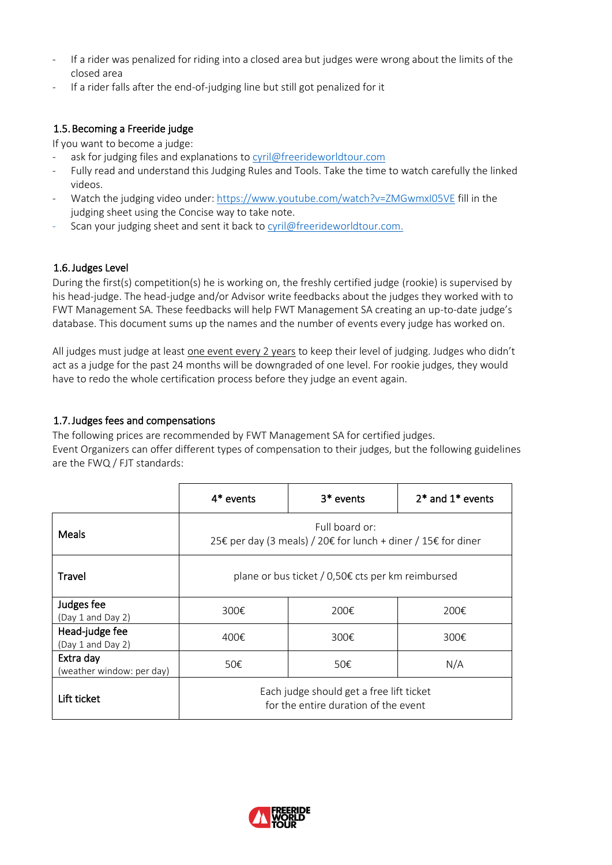- If a rider was penalized for riding into a closed area but judges were wrong about the limits of the closed area
- If a rider falls after the end-of-judging line but still got penalized for it

### <span id="page-4-0"></span>1.5.Becoming a Freeride judge

If you want to become a judge:

- ask for judging files and explanations t[o cyril@freerideworldtour.com](mailto:cyril@freerideworldtour.com)
- Fully read and understand this Judging Rules and Tools. Take the time to watch carefully the linked videos.
- Watch the judging video under: <https://www.youtube.com/watch?v=ZMGwmxI05VE> fill in the judging sheet using the Concise way to take note.
- Scan your judging sheet and sent it back to [cyril@freerideworldtour.com.](mailto:cyril@freerideworldtour.com)

### <span id="page-4-1"></span>1.6.Judges Level

During the first(s) competition(s) he is working on, the freshly certified judge (rookie) is supervised by his head-judge. The head-judge and/or Advisor write feedbacks about the judges they worked with to FWT Management SA. These feedbacks will help FWT Management SA creating an up-to-date judge's database. This document sums up the names and the number of events every judge has worked on.

All judges must judge at least one event every 2 years to keep their level of judging. Judges who didn't act as a judge for the past 24 months will be downgraded of one level. For rookie judges, they would have to redo the whole certification process before they judge an event again.

### <span id="page-4-2"></span>1.7.Judges fees and compensations

The following prices are recommended by FWT Management SA for certified judges. Event Organizers can offer different types of compensation to their judges, but the following guidelines are the FWQ / FJT standards:

|                                        | $4*$ events                                                                      | $3*$ events | $2^*$ and $1^*$ events |  |  |
|----------------------------------------|----------------------------------------------------------------------------------|-------------|------------------------|--|--|
| Meals                                  | Full board or:<br>25€ per day (3 meals) / 20€ for lunch + diner / 15€ for diner  |             |                        |  |  |
| Travel                                 | plane or bus ticket / 0,50€ cts per km reimbursed                                |             |                        |  |  |
| Judges fee<br>(Day 1 and Day 2)        | 300€                                                                             | 200€        | 200€                   |  |  |
| Head-judge fee<br>(Day 1 and Day 2)    | 400€                                                                             | 300€        | 300€                   |  |  |
| Extra day<br>(weather window: per day) | 50€<br>50€<br>N/A                                                                |             |                        |  |  |
| Lift ticket                            | Each judge should get a free lift ticket<br>for the entire duration of the event |             |                        |  |  |

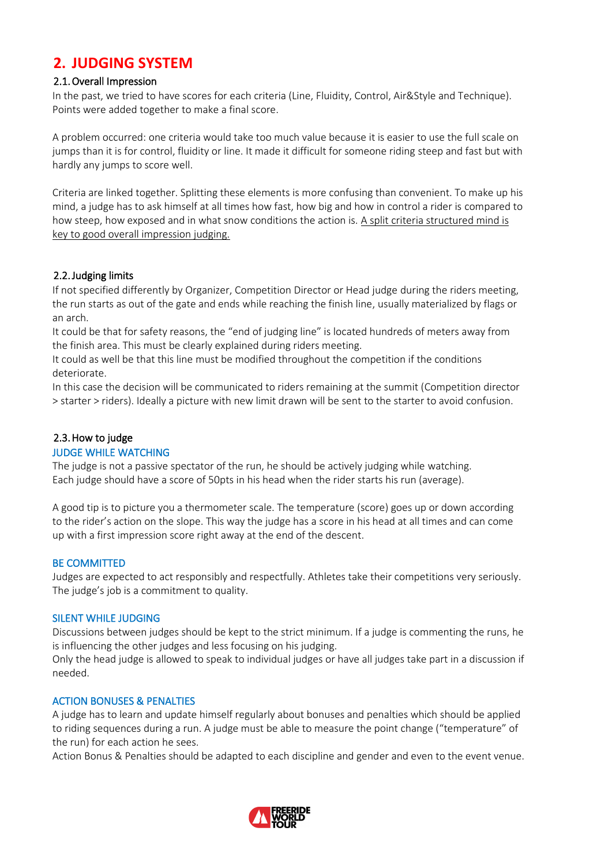### <span id="page-5-0"></span>**2. JUDGING SYSTEM**

### <span id="page-5-1"></span>2.1.Overall Impression

In the past, we tried to have scores for each criteria (Line, Fluidity, Control, Air&Style and Technique). Points were added together to make a final score.

A problem occurred: one criteria would take too much value because it is easier to use the full scale on jumps than it is for control, fluidity or line. It made it difficult for someone riding steep and fast but with hardly any jumps to score well.

Criteria are linked together. Splitting these elements is more confusing than convenient. To make up his mind, a judge has to ask himself at all times how fast, how big and how in control a rider is compared to how steep, how exposed and in what snow conditions the action is. A split criteria structured mind is key to good overall impression judging.

### <span id="page-5-2"></span>2.2.Judging limits

If not specified differently by Organizer, Competition Director or Head judge during the riders meeting, the run starts as out of the gate and ends while reaching the finish line, usually materialized by flags or an arch.

It could be that for safety reasons, the "end of judging line" is located hundreds of meters away from the finish area. This must be clearly explained during riders meeting.

It could as well be that this line must be modified throughout the competition if the conditions deteriorate.

In this case the decision will be communicated to riders remaining at the summit (Competition director > starter > riders). Ideally a picture with new limit drawn will be sent to the starter to avoid confusion.

### <span id="page-5-3"></span>2.3.How to judge

### JUDGE WHILE WATCHING

The judge is not a passive spectator of the run, he should be actively judging while watching. Each judge should have a score of 50pts in his head when the rider starts his run (average).

A good tip is to picture you a thermometer scale. The temperature (score) goes up or down according to the rider's action on the slope. This way the judge has a score in his head at all times and can come up with a first impression score right away at the end of the descent.

### BE COMMITTED

Judges are expected to act responsibly and respectfully. Athletes take their competitions very seriously. The judge's job is a commitment to quality.

### SILENT WHILE JUDGING

Discussions between judges should be kept to the strict minimum. If a judge is commenting the runs, he is influencing the other judges and less focusing on his judging.

Only the head judge is allowed to speak to individual judges or have all judges take part in a discussion if needed.

### ACTION BONUSES & PENALTIES

A judge has to learn and update himself regularly about bonuses and penalties which should be applied to riding sequences during a run. A judge must be able to measure the point change ("temperature" of the run) for each action he sees.

Action Bonus & Penalties should be adapted to each discipline and gender and even to the event venue.

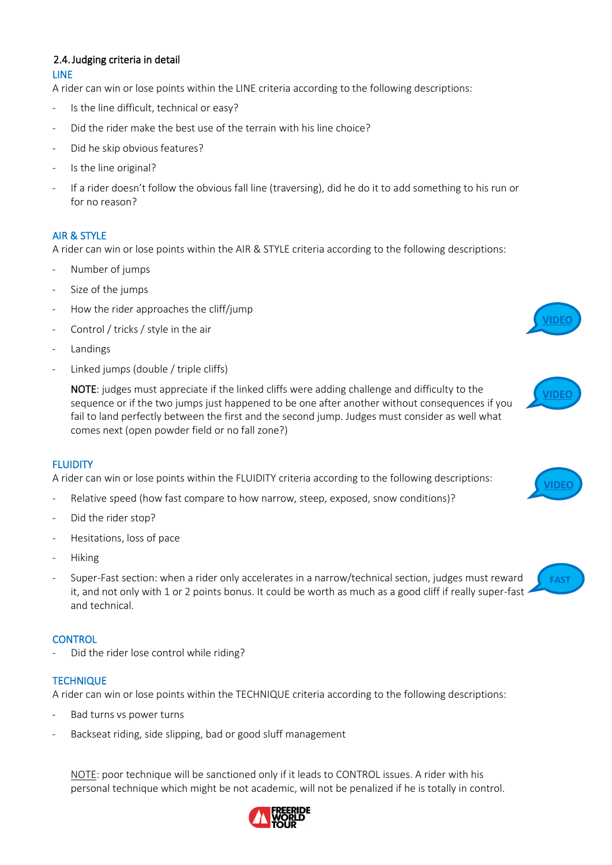### <span id="page-6-0"></span>2.4.Judging criteria in detail LINE

A rider can win or lose points within the LINE criteria according to the following descriptions:

- Is the line difficult, technical or easy?
- Did the rider make the best use of the terrain with his line choice?
- Did he skip obvious features?
- Is the line original?
- If a rider doesn't follow the obvious fall line (traversing), did he do it to add something to his run or for no reason?

### AIR & STYLE

A rider can win or lose points within the AIR & STYLE criteria according to the following descriptions:

- Number of jumps
- Size of the jumps
- How the rider approaches the cliff/jump
- Control / tricks / style in the air
- **Landings**
- Linked jumps (double / triple cliffs)

NOTE: judges must appreciate if the linked cliffs were adding challenge and difficulty to the sequence or if the two jumps just happened to be one after another without consequences if you fail to land perfectly between the first and the second jump. Judges must consider as well what comes next (open powder field or no fall zone?)

### **FLUIDITY**

A rider can win or lose points within the FLUIDITY criteria according to the following descriptions:

- Relative speed (how fast compare to how narrow, steep, exposed, snow conditions)?
- Did the rider stop?
- Hesitations, loss of pace
- Hiking
- Super-Fast section: when a rider only accelerates in a narrow/technical section, judges must reward it, and not only with 1 or 2 points bonus. It could be worth as much as a good cliff if really super-fast  $\cdot$ and technical.

### **CONTROL**

Did the rider lose control while riding?

### **TECHNIQUE**

A rider can win or lose points within the TECHNIQUE criteria according to the following descriptions:

- Bad turns vs power turns
- Backseat riding, side slipping, bad or good sluff management

NOTE: poor technique will be sanctioned only if it leads to CONTROL issues. A rider with his personal technique which might be not academic, will not be penalized if he is totally in control.









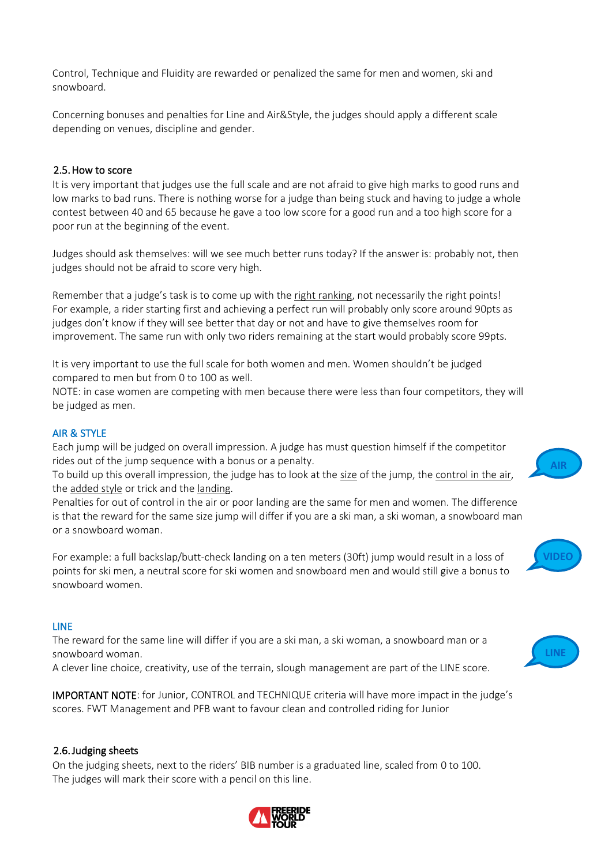Control, Technique and Fluidity are rewarded or penalized the same for men and women, ski and snowboard.

Concerning bonuses and penalties for Line and Air&Style, the judges should apply a different scale depending on venues, discipline and gender.

### <span id="page-7-0"></span>2.5.How to score

It is very important that judges use the full scale and are not afraid to give high marks to good runs and low marks to bad runs. There is nothing worse for a judge than being stuck and having to judge a whole contest between 40 and 65 because he gave a too low score for a good run and a too high score for a poor run at the beginning of the event.

Judges should ask themselves: will we see much better runs today? If the answer is: probably not, then judges should not be afraid to score very high.

Remember that a judge's task is to come up with the right ranking, not necessarily the right points! For example, a rider starting first and achieving a perfect run will probably only score around 90pts as judges don't know if they will see better that day or not and have to give themselves room for improvement. The same run with only two riders remaining at the start would probably score 99pts.

It is very important to use the full scale for both women and men. Women shouldn't be judged compared to men but from 0 to 100 as well.

NOTE: in case women are competing with men because there were less than four competitors, they will be judged as men.

### AIR & STYLE

Each jump will be judged on overall impression. A judge has must question himself if the competitor rides out of the jump sequence with a bonus or a penalty.

To build up this overall impression, the judge has to look at the size of the jump, the control in the air, the added style or trick and the landing.

Penalties for out of control in the air or poor landing are the same for men and women. The difference is that the reward for the same size jump will differ if you are a ski man, a ski woman, a snowboard man or a snowboard woman.

For example: a full backslap/butt-check landing on a ten meters (30ft) jump would result in a loss of points for ski men, a neutral score for ski women and snowboard men and would still give a bonus to snowboard women.

### LINE

The reward for the same line will differ if you are a ski man, a ski woman, a snowboard man or a snowboard woman.

A clever line choice, creativity, use of the terrain, slough management are part of the LINE score.

IMPORTANT NOTE: for Junior, CONTROL and TECHNIQUE criteria will have more impact in the judge's scores. FWT Management and PFB want to favour clean and controlled riding for Junior

### <span id="page-7-1"></span>2.6.Judging sheets

On the judging sheets, next to the riders' BIB number is a graduated line, scaled from 0 to 100. The judges will mark their score with a pencil on this line.





**[VIDEO](https://www.youtube.com/watch?v=CV2FgF3G6o8)**

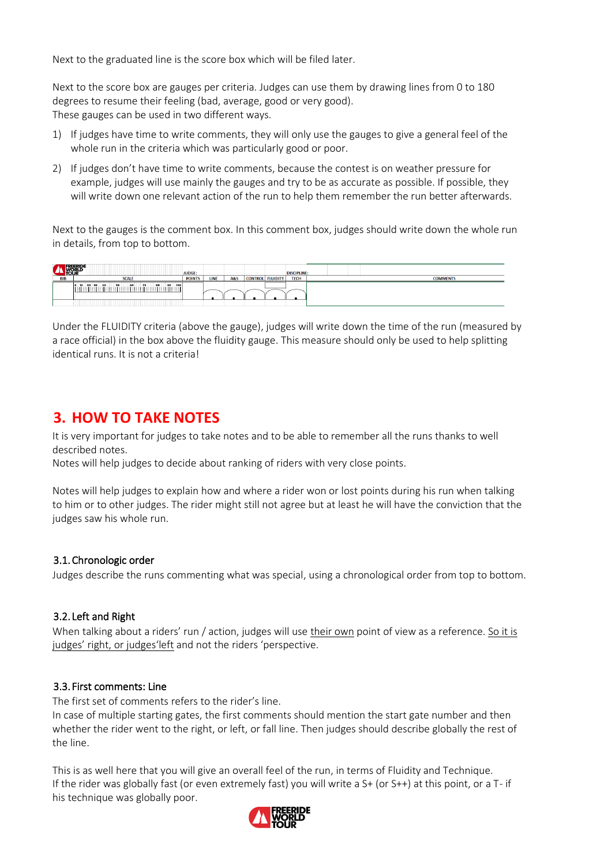Next to the graduated line is the score box which will be filed later.

Next to the score box are gauges per criteria. Judges can use them by drawing lines from 0 to 180 degrees to resume their feeling (bad, average, good or very good). These gauges can be used in two different ways.

- 1) If judges have time to write comments, they will only use the gauges to give a general feel of the whole run in the criteria which was particularly good or poor.
- 2) If judges don't have time to write comments, because the contest is on weather pressure for example, judges will use mainly the gauges and try to be as accurate as possible. If possible, they will write down one relevant action of the run to help them remember the run better afterwards.

Next to the gauges is the comment box. In this comment box, judges should write down the whole run in details, from top to bottom.

| ,TOUF      |                                                       | <b>JUDGE:</b> |      |     |                         | <b>DISCIPLINE:</b> |  |                 |
|------------|-------------------------------------------------------|---------------|------|-----|-------------------------|--------------------|--|-----------------|
| <b>BIB</b> | <b>SCALE</b>                                          | <b>POINTS</b> | LINE | A&S | <b>CONTROL FLUIDITY</b> | <b>TECH</b>        |  | <b>COMMENTS</b> |
|            | 30<br>100<br>70<br>80<br>30.<br>50<br>60<br>20<br>40. |               |      |     |                         |                    |  |                 |
|            |                                                       |               |      |     |                         |                    |  |                 |

Under the FLUIDITY criteria (above the gauge), judges will write down the time of the run (measured by a race official) in the box above the fluidity gauge. This measure should only be used to help splitting identical runs. It is not a criteria!

### <span id="page-8-0"></span>**3. HOW TO TAKE NOTES**

It is very important for judges to take notes and to be able to remember all the runs thanks to well described notes.

Notes will help judges to decide about ranking of riders with very close points.

Notes will help judges to explain how and where a rider won or lost points during his run when talking to him or to other judges. The rider might still not agree but at least he will have the conviction that the judges saw his whole run.

### <span id="page-8-1"></span>3.1.Chronologic order

Judges describe the runs commenting what was special, using a chronological order from top to bottom.

### <span id="page-8-2"></span>3.2. Left and Right

When talking about a riders' run / action, judges will use their own point of view as a reference. So it is judges' right, or judges'left and not the riders 'perspective.

### <span id="page-8-3"></span>3.3. First comments: Line

The first set of comments refers to the rider's line.

In case of multiple starting gates, the first comments should mention the start gate number and then whether the rider went to the right, or left, or fall line. Then judges should describe globally the rest of the line.

This is as well here that you will give an overall feel of the run, in terms of Fluidity and Technique. If the rider was globally fast (or even extremely fast) you will write a S+ (or S++) at this point, or a T- if his technique was globally poor.

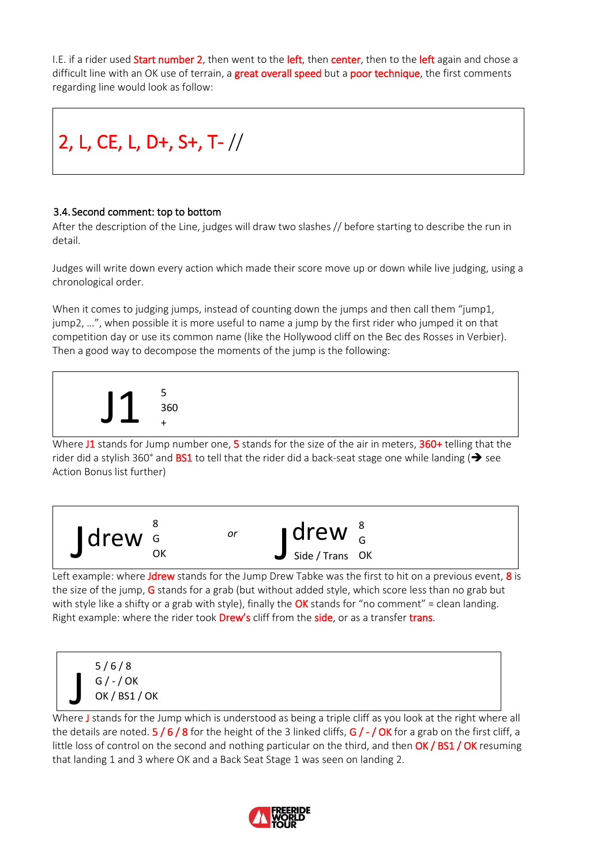I.E. if a rider used **Start number 2**, then went to the **left**, then center, then to the left again and chose a difficult line with an OK use of terrain, a great overall speed but a poor technique, the first comments regarding line would look as follow:



### <span id="page-9-0"></span>3.4. Second comment: top to bottom

After the description of the Line, judges will draw two slashes // before starting to describe the run in detail.

Judges will write down every action which made their score move up or down while live judging, using a chronological order.

When it comes to judging jumps, instead of counting down the jumps and then call them "jump1, jump2, …", when possible it is more useful to name a jump by the first rider who jumped it on that competition day or use its common name (like the Hollywood cliff on the Bec des Rosses in Verbier). Then a good way to decompose the moments of the jump is the following:



Where J1 stands for Jump number one, 5 stands for the size of the air in meters, 360+ telling that the rider did a stylish 360° and **BS1** to tell that the rider did a back-seat stage one while landing ( $\rightarrow$  see Action Bonus list further)



Left example: where Jdrew stands for the Jump Drew Tabke was the first to hit on a previous event, 8 is the size of the jump, G stands for a grab (but without added style, which score less than no grab but with style like a shifty or a grab with style), finally the OK stands for "no comment" = clean landing. Right example: where the rider took **Drew's** cliff from the **side**, or as a transfer trans.



Where J stands for the Jump which is understood as being a triple cliff as you look at the right where all the details are noted.  $5/6/8$  for the height of the 3 linked cliffs,  $G/-/OK$  for a grab on the first cliff, a little loss of control on the second and nothing particular on the third, and then OK / BS1 / OK resuming that landing 1 and 3 where OK and a Back Seat Stage 1 was seen on landing 2.

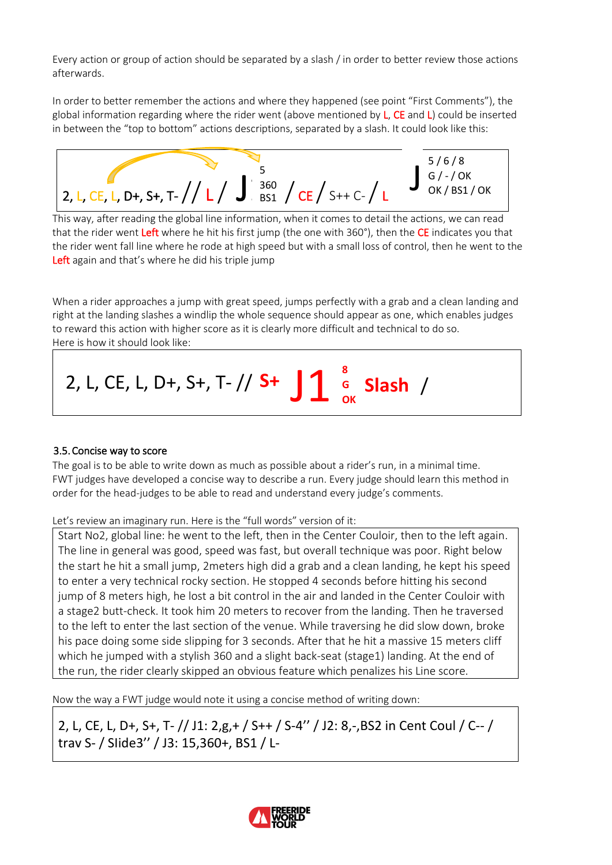Every action or group of action should be separated by a slash / in order to better review those actions afterwards.

In order to better remember the actions and where they happened (see point "First Comments"), the global information regarding where the rider went (above mentioned by L, CE and L) could be inserted in between the "top to bottom" actions descriptions, separated by a slash. It could look like this:



This way, after reading the global line information, when it comes to detail the actions, we can read that the rider went **Left** where he hit his first jump (the one with 360°), then the CE indicates you that the rider went fall line where he rode at high speed but with a small loss of control, then he went to the Left again and that's where he did his triple jump

When a rider approaches a jump with great speed, jumps perfectly with a grab and a clean landing and right at the landing slashes a windlip the whole sequence should appear as one, which enables judges to reward this action with higher score as it is clearly more difficult and technical to do so. Here is how it should look like:



### <span id="page-10-0"></span>3.5.Concise way to score

The goal is to be able to write down as much as possible about a rider's run, in a minimal time. FWT judges have developed a concise way to describe a run. Every judge should learn this method in order for the head-judges to be able to read and understand every judge's comments.

Let's review an imaginary run. Here is the "full words" version of it:

Start No2, global line: he went to the left, then in the Center Couloir, then to the left again. The line in general was good, speed was fast, but overall technique was poor. Right below the start he hit a small jump, 2meters high did a grab and a clean landing, he kept his speed to enter a very technical rocky section. He stopped 4 seconds before hitting his second jump of 8 meters high, he lost a bit control in the air and landed in the Center Couloir with a stage2 butt-check. It took him 20 meters to recover from the landing. Then he traversed to the left to enter the last section of the venue. While traversing he did slow down, broke his pace doing some side slipping for 3 seconds. After that he hit a massive 15 meters cliff which he jumped with a stylish 360 and a slight back-seat (stage1) landing. At the end of the run, the rider clearly skipped an obvious feature which penalizes his Line score.

Now the way a FWT judge would note it using a concise method of writing down:

2, L, CE, L, D+, S+, T- // J1: 2,g,+ / S++ / S-4'' / J2: 8,-,BS2 in Cent Coul / C-- / trav S- / SIide3'' / J3: 15,360+, BS1 / L-

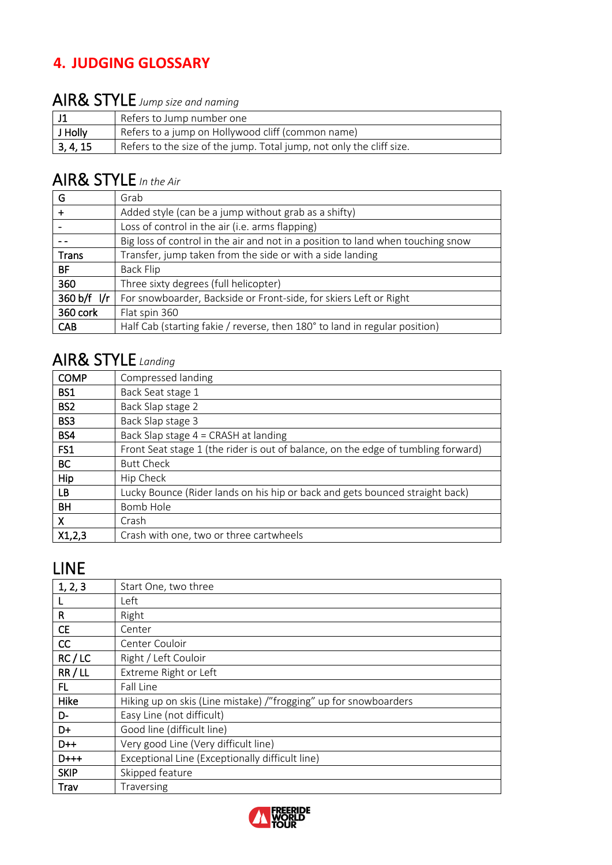## <span id="page-11-0"></span>**4. JUDGING GLOSSARY**

## AIR& STYLE *Jump size and naming*

|          | Refers to Jump number one                                            |
|----------|----------------------------------------------------------------------|
| J Holly  | Refers to a jump on Hollywood cliff (common name)                    |
| 3, 4, 15 | Refers to the size of the jump. Total jump, not only the cliff size. |

## AIR& STYLE *In the Air*

| G            | Grab                                                                            |
|--------------|---------------------------------------------------------------------------------|
| ٠            | Added style (can be a jump without grab as a shifty)                            |
|              | Loss of control in the air (i.e. arms flapping)                                 |
|              | Big loss of control in the air and not in a position to land when touching snow |
| <b>Trans</b> | Transfer, jump taken from the side or with a side landing                       |
| BF.          | <b>Back Flip</b>                                                                |
| 360          | Three sixty degrees (full helicopter)                                           |
| 360 b/f l/r  | For snowboarder, Backside or Front-side, for skiers Left or Right               |
| 360 cork     | Flat spin 360                                                                   |
| <b>CAB</b>   | Half Cab (starting fakie / reverse, then 180° to land in regular position)      |

## AIR& STYLE *Landing*

| <b>COMP</b>     | Compressed landing                                                                |
|-----------------|-----------------------------------------------------------------------------------|
| BS1             | Back Seat stage 1                                                                 |
| BS <sub>2</sub> | Back Slap stage 2                                                                 |
| BS <sub>3</sub> | Back Slap stage 3                                                                 |
| BS4             | Back Slap stage $4 = CRASH$ at landing                                            |
| FS1             | Front Seat stage 1 (the rider is out of balance, on the edge of tumbling forward) |
| BC.             | <b>Butt Check</b>                                                                 |
| Hip             | Hip Check                                                                         |
| LВ              | Lucky Bounce (Rider lands on his hip or back and gets bounced straight back)      |
| <b>BH</b>       | Bomb Hole                                                                         |
| X               | Crash                                                                             |
| X1,2,3          | Crash with one, two or three cartwheels                                           |

## LINE

| 1, 2, 3     | Start One, two three                                             |
|-------------|------------------------------------------------------------------|
|             | Left                                                             |
| R           | Right                                                            |
| <b>CE</b>   | Center                                                           |
| CC.         | Center Couloir                                                   |
| RC/LC       | Right / Left Couloir                                             |
| RR/LL       | Extreme Right or Left                                            |
| FL.         | Fall Line                                                        |
| Hike        | Hiking up on skis (Line mistake) /"frogging" up for snowboarders |
| D-          | Easy Line (not difficult)                                        |
| D+          | Good line (difficult line)                                       |
| D++         | Very good Line (Very difficult line)                             |
| $D$ +++     | Exceptional Line (Exceptionally difficult line)                  |
| <b>SKIP</b> | Skipped feature                                                  |
| Trav        | Traversing                                                       |
|             |                                                                  |

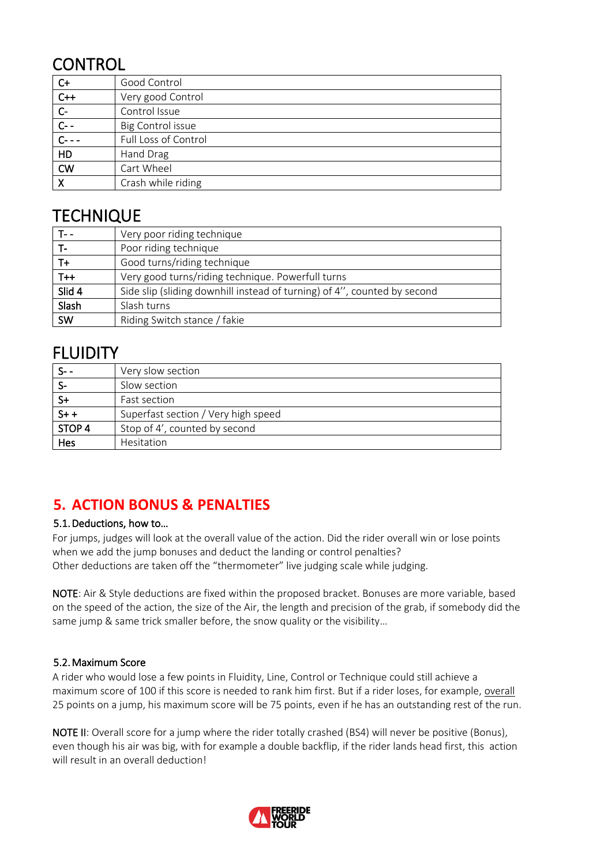## **CONTROL**

| $C+$             | Good Control         |
|------------------|----------------------|
| $C++$            | Very good Control    |
| $C-$             | Control Issue        |
| $\overline{C}$ - | Big Control issue    |
| $C - -$          | Full Loss of Control |
| HD               | Hand Drag            |
| <b>CW</b>        | Cart Wheel           |
|                  | Crash while riding   |

## **TECHNIQUE**

|                  | Very poor riding technique                                               |
|------------------|--------------------------------------------------------------------------|
|                  | Poor riding technique                                                    |
| $T +$            | Good turns/riding technique                                              |
| $\overline{1+1}$ | Very good turns/riding technique. Powerfull turns                        |
| Slid 4           | Side slip (sliding downhill instead of turning) of 4", counted by second |
| Slash            | Slash turns                                                              |
| SW               | Riding Switch stance / fakie                                             |

## FLUIDITY

|                   | Very slow section                   |
|-------------------|-------------------------------------|
|                   | Slow section                        |
| S+                | Fast section                        |
| $S++$             | Superfast section / Very high speed |
| STOP <sub>4</sub> | Stop of 4', counted by second       |
| Hes               | Hesitation                          |

## <span id="page-12-0"></span>**5. ACTION BONUS & PENALTIES**

### <span id="page-12-1"></span>5.1.Deductions, how to…

For jumps, judges will look at the overall value of the action. Did the rider overall win or lose points when we add the jump bonuses and deduct the landing or control penalties? Other deductions are taken off the "thermometer" live judging scale while judging.

NOTE: Air & Style deductions are fixed within the proposed bracket. Bonuses are more variable, based on the speed of the action, the size of the Air, the length and precision of the grab, if somebody did the same jump & same trick smaller before, the snow quality or the visibility…

### <span id="page-12-2"></span>5.2.Maximum Score

A rider who would lose a few points in Fluidity, Line, Control or Technique could still achieve a maximum score of 100 if this score is needed to rank him first. But if a rider loses, for example, overall 25 points on a jump, his maximum score will be 75 points, even if he has an outstanding rest of the run.

NOTE II: Overall score for a jump where the rider totally crashed (BS4) will never be positive (Bonus), even though his air was big, with for example a double backflip, if the rider lands head first, this action will result in an overall deduction!

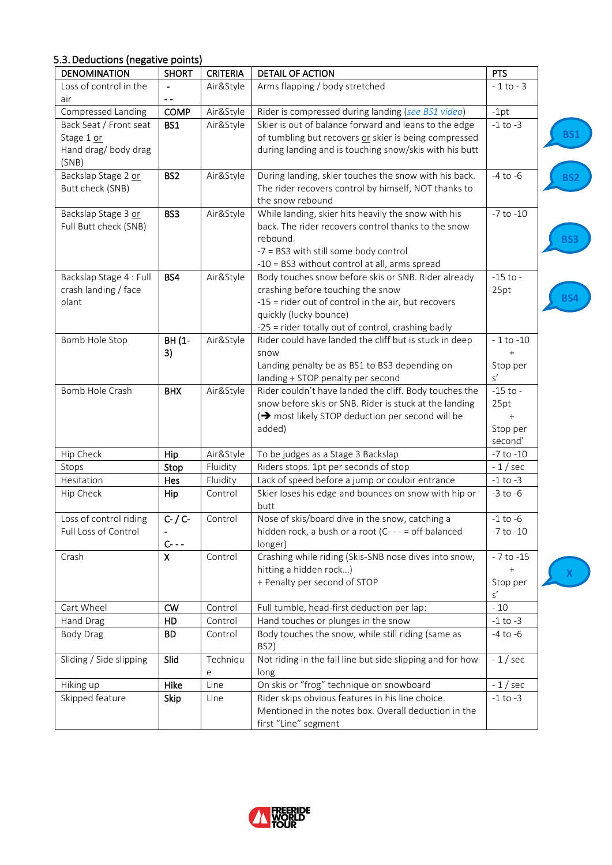| <b>DENOMINATION</b>    | <b>SHORT</b>    | <b>CRITERIA</b> | <b>DETAIL OF ACTION</b>                                | <b>PTS</b>    |
|------------------------|-----------------|-----------------|--------------------------------------------------------|---------------|
| Loss of control in the |                 | Air&Style       | Arms flapping / body stretched                         | $-1$ to $-3$  |
| air                    | $ -$            |                 |                                                        |               |
| Compressed Landing     | COMP            | Air&Style       | Rider is compressed during landing (see BS1 video)     | $-1pt$        |
| Back Seat / Front seat | <b>BS1</b>      | Air&Style       | Skier is out of balance forward and leans to the edge  | $-1$ to $-3$  |
| Stage 1 or             |                 |                 | of tumbling but recovers or skier is being compressed  |               |
| Hand drag/body drag    |                 |                 | during landing and is touching snow/skis with his butt |               |
| (SNB)                  |                 |                 |                                                        |               |
| Backslap Stage 2 or    | BS <sub>2</sub> | Air&Style       | During landing, skier touches the snow with his back.  | $-4$ to $-6$  |
| Butt check (SNB)       |                 |                 | The rider recovers control by himself, NOT thanks to   |               |
|                        |                 |                 | the snow rebound                                       |               |
| Backslap Stage 3 or    | BS3             | Air&Style       | While landing, skier hits heavily the snow with his    | $-7$ to $-10$ |
| Full Butt check (SNB)  |                 |                 | back. The rider recovers control thanks to the snow    |               |
|                        |                 |                 | rebound.                                               |               |
|                        |                 |                 | -7 = BS3 with still some body control                  |               |
|                        |                 |                 | -10 = BS3 without control at all, arms spread          |               |
| Backslap Stage 4: Full | BS4             | Air&Style       | Body touches snow before skis or SNB. Rider already    | $-15$ to $-$  |
| crash landing / face   |                 |                 | crashing before touching the snow                      | 25pt          |
| plant                  |                 |                 | -15 = rider out of control in the air, but recovers    |               |
|                        |                 |                 | quickly (lucky bounce)                                 |               |
|                        |                 |                 | -25 = rider totally out of control, crashing badly     |               |
| Bomb Hole Stop         | BH (1-          | Air&Style       | Rider could have landed the cliff but is stuck in deep | $-1$ to $-10$ |
|                        | 3)              |                 | snow                                                   |               |
|                        |                 |                 | Landing penalty be as BS1 to BS3 depending on          | Stop per      |
|                        |                 |                 | landing + STOP penalty per second                      | s'            |
| Bomb Hole Crash        | <b>BHX</b>      | Air&Style       | Rider couldn't have landed the cliff. Body touches the | $-15$ to $-$  |
|                        |                 |                 | snow before skis or SNB. Rider is stuck at the landing | 25pt          |
|                        |                 |                 | (→ most likely STOP deduction per second will be       |               |
|                        |                 |                 | added)                                                 | Stop per      |
|                        |                 |                 |                                                        | second'       |
| Hip Check              | Hip             | Air&Style       | To be judges as a Stage 3 Backslap                     | $-7$ to $-10$ |
| Stops                  | Stop            | Fluidity        | Riders stops. 1pt per seconds of stop                  | $-1$ / sec    |
| Hesitation             | Hes             | Fluidity        | Lack of speed before a jump or couloir entrance        | $-1$ to $-3$  |
| Hip Check              | Hip             | Control         | Skier loses his edge and bounces on snow with hip or   | $-3$ to $-6$  |
|                        |                 |                 | butt                                                   |               |
| Loss of control riding | $C-$ / $C-$     | Control         | Nose of skis/board dive in the snow, catching a        | $-1$ to $-6$  |
| Full Loss of Control   |                 |                 | hidden rock, a bush or a root (C- - - = off balanced   | $-7$ to $-10$ |
|                        | $C - - -$       |                 | longer)                                                |               |
| Crash                  | $\mathsf{\chi}$ | Control         | Crashing while riding (Skis-SNB nose dives into snow,  | $-7$ to $-15$ |
|                        |                 |                 | hitting a hidden rock)                                 |               |
|                        |                 |                 | + Penalty per second of STOP                           | Stop per      |
|                        |                 |                 |                                                        | $\mathsf{s}'$ |
| Cart Wheel             | <b>CW</b>       | Control         | Full tumble, head-first deduction per lap:             | $-10$         |
| Hand Drag              | HD              | Control         | Hand touches or plunges in the snow                    | $-1$ to $-3$  |
| Body Drag              | BD.             | Control         | Body touches the snow, while still riding (same as     | $-4$ to $-6$  |
|                        |                 |                 | BS2)                                                   |               |

### <span id="page-13-0"></span>5.3.Deductions (negative points)

Sliding / Side slipping  $\left| \right|$  Slid  $\left| \right|$  Techniqu

e



long

Skipped feature  $\begin{vmatrix} \text{skip} \end{vmatrix}$  Line  $\begin{vmatrix} \text{Rider skips} \\ \text{bmatrix} \end{vmatrix}$  at the choice.

Hiking up **Hike** Line On skis or "frog" technique on snowboard - 1/sec

first "Line" segment

Not riding in the fall line but side slipping and for how

Mentioned in the notes box. Overall deduction in the

- 1 / sec

**[BS1](https://www.youtube.com/watch?v=21juxnl5ysA)**

**[BS2](https://www.youtube.com/watch?v=AznJP2dqxx8)**

**[BS3](https://www.youtube.com/watch?v=L4y2L9uZ0EM)**

**[BS4](https://youtu.be/ZUr-uRW0P40)**

**[X](https://www.youtube.com/watch?v=9JxTzrwOMnA)**

-1 to -3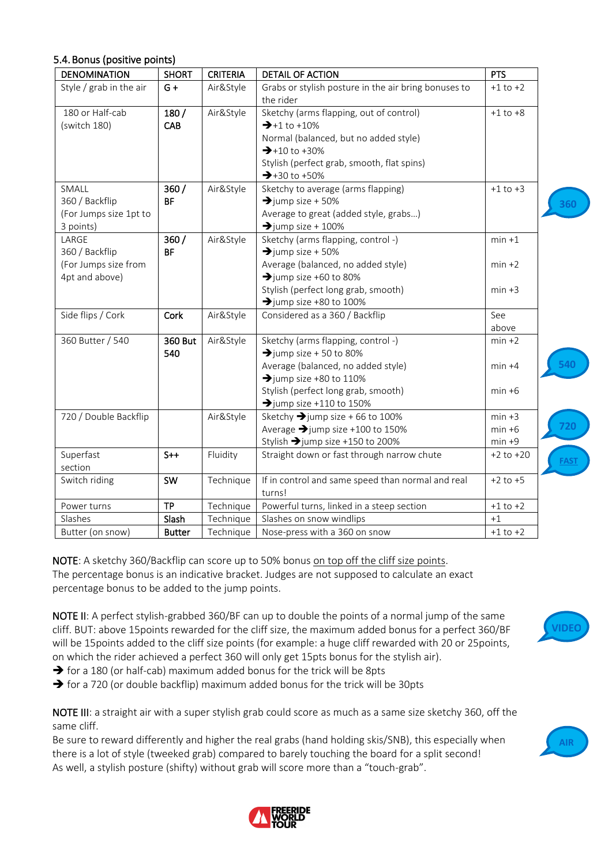<span id="page-14-0"></span>

| <b>DENOMINATION</b>                                            | <b>SHORT</b>          | <b>CRITERIA</b> | <b>DETAIL OF ACTION</b>                                                                                                                                                                                                 | <b>PTS</b>    |
|----------------------------------------------------------------|-----------------------|-----------------|-------------------------------------------------------------------------------------------------------------------------------------------------------------------------------------------------------------------------|---------------|
| Style / grab in the air                                        | $G +$                 | Air&Style       | Grabs or stylish posture in the air bring bonuses to<br>the rider                                                                                                                                                       | $+1$ to $+2$  |
| 180 or Half-cab<br>(switch 180)                                | 180/<br>CAB           | Air&Style       | Sketchy (arms flapping, out of control)<br>$\rightarrow +1$ to $+10\%$<br>Normal (balanced, but no added style)<br>$\rightarrow$ +10 to +30%<br>Stylish (perfect grab, smooth, flat spins)<br>$\rightarrow$ +30 to +50% | $+1$ to $+8$  |
| SMALL<br>360 / Backflip<br>(For Jumps size 1pt to<br>3 points) | 360/<br><b>BF</b>     | Air&Style       | Sketchy to average (arms flapping)<br>$\rightarrow$ jump size + 50%<br>Average to great (added style, grabs)<br>$\rightarrow$ jump size + 100%                                                                          | $+1$ to $+3$  |
| LARGE<br>360 / Backflip                                        | 360/<br><b>BF</b>     | Air&Style       | Sketchy (arms flapping, control -)<br>$\rightarrow$ jump size + 50%                                                                                                                                                     | $min + 1$     |
| (For Jumps size from<br>4pt and above)                         |                       |                 | Average (balanced, no added style)<br>$\rightarrow$ jump size +60 to 80%                                                                                                                                                | $min +2$      |
|                                                                |                       |                 | Stylish (perfect long grab, smooth)<br>$\rightarrow$ jump size +80 to 100%                                                                                                                                              | $min +3$      |
| Side flips / Cork                                              | Cork                  | Air&Style       | Considered as a 360 / Backflip                                                                                                                                                                                          | See<br>above  |
| 360 Butter / 540                                               | <b>360 But</b><br>540 | Air&Style       | Sketchy (arms flapping, control -)<br>$\rightarrow$ jump size + 50 to 80%                                                                                                                                               | $min +2$      |
|                                                                |                       |                 | Average (balanced, no added style)<br>$\rightarrow$ jump size +80 to 110%                                                                                                                                               | $min +4$      |
|                                                                |                       |                 | Stylish (perfect long grab, smooth)<br>$\rightarrow$ jump size +110 to 150%                                                                                                                                             | $min +6$      |
| 720 / Double Backflip                                          |                       | Air&Style       | Sketchy $\rightarrow$ jump size + 66 to 100%                                                                                                                                                                            | $min +3$      |
|                                                                |                       |                 | Average $\rightarrow$ jump size +100 to 150%                                                                                                                                                                            | $min +6$      |
|                                                                |                       |                 | Stylish → jump size +150 to 200%                                                                                                                                                                                        | $min +9$      |
| Superfast<br>section                                           | $S++$                 | Fluidity        | Straight down or fast through narrow chute                                                                                                                                                                              | $+2$ to $+20$ |
| Switch riding                                                  | SW                    | Technique       | If in control and same speed than normal and real<br>turns!                                                                                                                                                             | $+2$ to $+5$  |
| Power turns                                                    | <b>TP</b>             | Technique       | Powerful turns, linked in a steep section                                                                                                                                                                               | $+1$ to $+2$  |
| Slashes                                                        | Slash                 | Technique       | Slashes on snow windlips                                                                                                                                                                                                | $+1$          |
| Butter (on snow)                                               | <b>Butter</b>         | Technique       | Nose-press with a 360 on snow                                                                                                                                                                                           | $+1$ to $+2$  |

NOTE: A sketchy 360/Backflip can score up to 50% bonus on top off the cliff size points. The percentage bonus is an indicative bracket. Judges are not supposed to calculate an exact percentage bonus to be added to the jump points.

NOTE II: A perfect stylish-grabbed 360/BF can up to double the points of a normal jump of the same cliff. BUT: above 15points rewarded for the cliff size, the maximum added bonus for a perfect 360/BF will be 15points added to the cliff size points (for example: a huge cliff rewarded with 20 or 25points, on which the rider achieved a perfect 360 will only get 15pts bonus for the stylish air).

- ➔ for a 180 (or half-cab) maximum added bonus for the trick will be 8pts
- ➔ for a 720 (or double backflip) maximum added bonus for the trick will be 30pts

NOTE III: a straight air with a super stylish grab could score as much as a same size sketchy 360, off the same cliff.

Be sure to reward differently and higher the real grabs (hand holding skis/SNB), this especially when there is a lot of style (tweeked grab) compared to barely touching the board for a split second! As well, a stylish posture (shifty) without grab will score more than a "touch-grab".





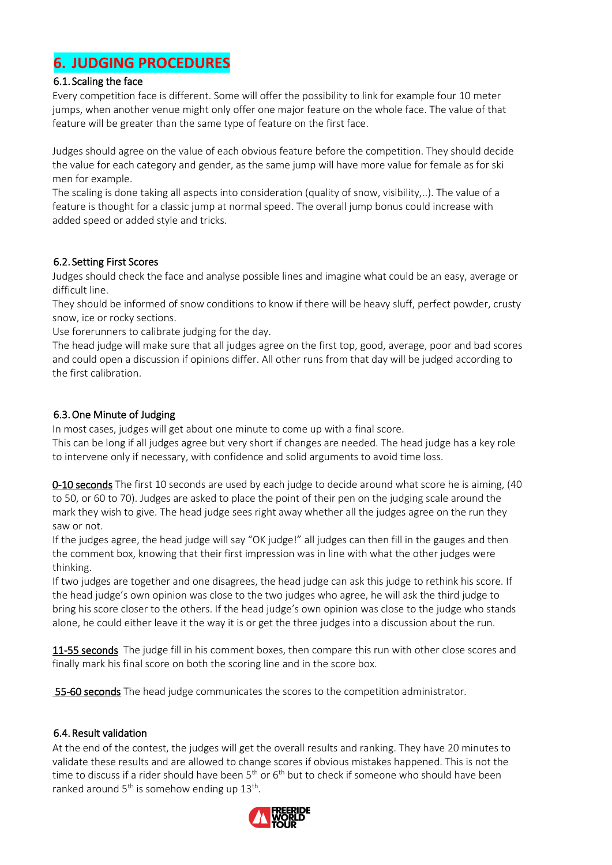### <span id="page-15-0"></span>**6. JUDGING PROCEDURES**

### <span id="page-15-1"></span>6.1. Scaling the face

Every competition face is different. Some will offer the possibility to link for example four 10 meter jumps, when another venue might only offer one major feature on the whole face. The value of that feature will be greater than the same type of feature on the first face.

Judges should agree on the value of each obvious feature before the competition. They should decide the value for each category and gender, as the same jump will have more value for female as for ski men for example.

The scaling is done taking all aspects into consideration (quality of snow, visibility,..). The value of a feature is thought for a classic jump at normal speed. The overall jump bonus could increase with added speed or added style and tricks.

### <span id="page-15-2"></span>6.2. Setting First Scores

Judges should check the face and analyse possible lines and imagine what could be an easy, average or difficult line.

They should be informed of snow conditions to know if there will be heavy sluff, perfect powder, crusty snow, ice or rocky sections.

Use forerunners to calibrate judging for the day.

The head judge will make sure that all judges agree on the first top, good, average, poor and bad scores and could open a discussion if opinions differ. All other runs from that day will be judged according to the first calibration.

### <span id="page-15-3"></span>6.3.One Minute of Judging

In most cases, judges will get about one minute to come up with a final score.

This can be long if all judges agree but very short if changes are needed. The head judge has a key role to intervene only if necessary, with confidence and solid arguments to avoid time loss.

0-10 seconds The first 10 seconds are used by each judge to decide around what score he is aiming, (40 to 50, or 60 to 70). Judges are asked to place the point of their pen on the judging scale around the mark they wish to give. The head judge sees right away whether all the judges agree on the run they saw or not.

If the judges agree, the head judge will say "OK judge!" all judges can then fill in the gauges and then the comment box, knowing that their first impression was in line with what the other judges were thinking.

If two judges are together and one disagrees, the head judge can ask this judge to rethink his score. If the head judge's own opinion was close to the two judges who agree, he will ask the third judge to bring his score closer to the others. If the head judge's own opinion was close to the judge who stands alone, he could either leave it the way it is or get the three judges into a discussion about the run.

11-55 seconds The judge fill in his comment boxes, then compare this run with other close scores and finally mark his final score on both the scoring line and in the score box.

**55-60 seconds** The head judge communicates the scores to the competition administrator.

### <span id="page-15-4"></span>6.4.Result validation

At the end of the contest, the judges will get the overall results and ranking. They have 20 minutes to validate these results and are allowed to change scores if obvious mistakes happened. This is not the time to discuss if a rider should have been  $5<sup>th</sup>$  or  $6<sup>th</sup>$  but to check if someone who should have been ranked around  $5<sup>th</sup>$  is somehow ending up  $13<sup>th</sup>$ .

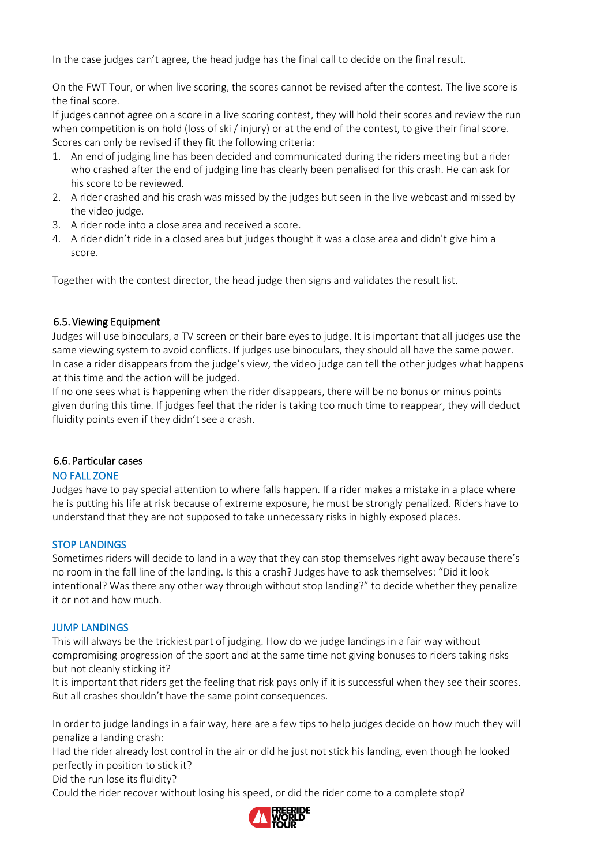In the case judges can't agree, the head judge has the final call to decide on the final result.

On the FWT Tour, or when live scoring, the scores cannot be revised after the contest. The live score is the final score.

If judges cannot agree on a score in a live scoring contest, they will hold their scores and review the run when competition is on hold (loss of ski / injury) or at the end of the contest, to give their final score. Scores can only be revised if they fit the following criteria:

- 1. An end of judging line has been decided and communicated during the riders meeting but a rider who crashed after the end of judging line has clearly been penalised for this crash. He can ask for his score to be reviewed.
- 2. A rider crashed and his crash was missed by the judges but seen in the live webcast and missed by the video judge.
- 3. A rider rode into a close area and received a score.
- 4. A rider didn't ride in a closed area but judges thought it was a close area and didn't give him a score.

Together with the contest director, the head judge then signs and validates the result list.

### <span id="page-16-0"></span>6.5.Viewing Equipment

Judges will use binoculars, a TV screen or their bare eyes to judge. It is important that all judges use the same viewing system to avoid conflicts. If judges use binoculars, they should all have the same power. In case a rider disappears from the judge's view, the video judge can tell the other judges what happens at this time and the action will be judged.

If no one sees what is happening when the rider disappears, there will be no bonus or minus points given during this time. If judges feel that the rider is taking too much time to reappear, they will deduct fluidity points even if they didn't see a crash.

### <span id="page-16-1"></span>6.6. Particular cases

### NO FALL ZONE

Judges have to pay special attention to where falls happen. If a rider makes a mistake in a place where he is putting his life at risk because of extreme exposure, he must be strongly penalized. Riders have to understand that they are not supposed to take unnecessary risks in highly exposed places.

### STOP LANDINGS

Sometimes riders will decide to land in a way that they can stop themselves right away because there's no room in the fall line of the landing. Is this a crash? Judges have to ask themselves: "Did it look intentional? Was there any other way through without stop landing?" to decide whether they penalize it or not and how much.

#### JUMP LANDINGS

This will always be the trickiest part of judging. How do we judge landings in a fair way without compromising progression of the sport and at the same time not giving bonuses to riders taking risks but not cleanly sticking it?

It is important that riders get the feeling that risk pays only if it is successful when they see their scores. But all crashes shouldn't have the same point consequences.

In order to judge landings in a fair way, here are a few tips to help judges decide on how much they will penalize a landing crash:

Had the rider already lost control in the air or did he just not stick his landing, even though he looked perfectly in position to stick it?

Did the run lose its fluidity?

Could the rider recover without losing his speed, or did the rider come to a complete stop?

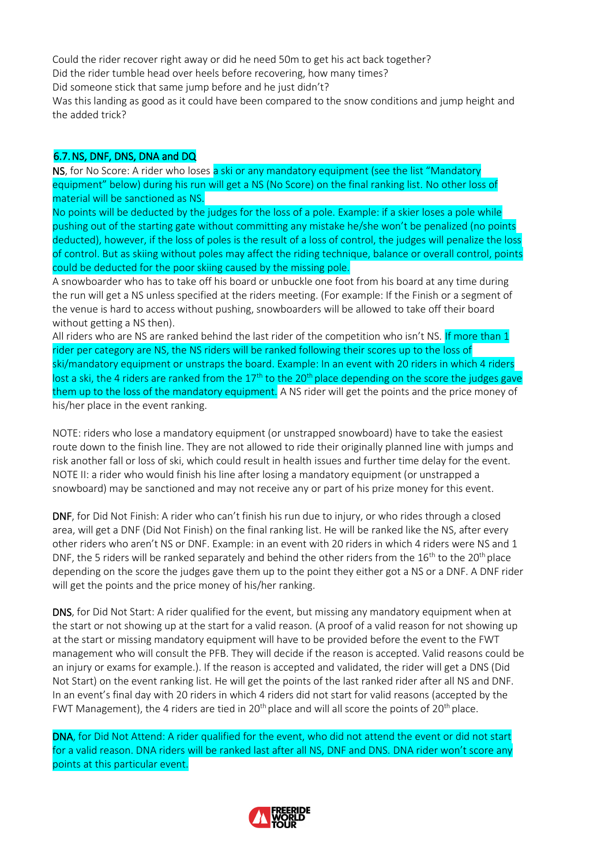Could the rider recover right away or did he need 50m to get his act back together? Did the rider tumble head over heels before recovering, how many times? Did someone stick that same jump before and he just didn't?

Was this landing as good as it could have been compared to the snow conditions and jump height and the added trick?

### <span id="page-17-0"></span>6.7.NS, DNF, DNS, DNA and DQ

NS, for No Score: A rider who loses a ski or any mandatory equipment (see the list "Mandatory equipment" below) during his run will get a NS (No Score) on the final ranking list. No other loss of material will be sanctioned as NS.

No points will be deducted by the judges for the loss of a pole. Example: if a skier loses a pole while pushing out of the starting gate without committing any mistake he/she won't be penalized (no points deducted), however, if the loss of poles is the result of a loss of control, the judges will penalize the loss of control. But as skiing without poles may affect the riding technique, balance or overall control, points could be deducted for the poor skiing caused by the missing pole.

A snowboarder who has to take off his board or unbuckle one foot from his board at any time during the run will get a NS unless specified at the riders meeting. (For example: If the Finish or a segment of the venue is hard to access without pushing, snowboarders will be allowed to take off their board without getting a NS then).

All riders who are NS are ranked behind the last rider of the competition who isn't NS. If more than 1 rider per category are NS, the NS riders will be ranked following their scores up to the loss of ski/mandatory equipment or unstraps the board. Example: In an event with 20 riders in which 4 riders lost a ski, the 4 riders are ranked from the  $17<sup>th</sup>$  to the  $20<sup>th</sup>$  place depending on the score the judges gave them up to the loss of the mandatory equipment. A NS rider will get the points and the price money of his/her place in the event ranking.

NOTE: riders who lose a mandatory equipment (or unstrapped snowboard) have to take the easiest route down to the finish line. They are not allowed to ride their originally planned line with jumps and risk another fall or loss of ski, which could result in health issues and further time delay for the event. NOTE II: a rider who would finish his line after losing a mandatory equipment (or unstrapped a snowboard) may be sanctioned and may not receive any or part of his prize money for this event.

DNF, for Did Not Finish: A rider who can't finish his run due to injury, or who rides through a closed area, will get a DNF (Did Not Finish) on the final ranking list. He will be ranked like the NS, after every other riders who aren't NS or DNF. Example: in an event with 20 riders in which 4 riders were NS and 1 DNF, the 5 riders will be ranked separately and behind the other riders from the  $16<sup>th</sup>$  to the 20<sup>th</sup> place depending on the score the judges gave them up to the point they either got a NS or a DNF. A DNF rider will get the points and the price money of his/her ranking.

DNS, for Did Not Start: A rider qualified for the event, but missing any mandatory equipment when at the start or not showing up at the start for a valid reason*.* (A proof of a valid reason for not showing up at the start or missing mandatory equipment will have to be provided before the event to the FWT management who will consult the PFB. They will decide if the reason is accepted. Valid reasons could be an injury or exams for example.). If the reason is accepted and validated, the rider will get a DNS (Did Not Start) on the event ranking list. He will get the points of the last ranked rider after all NS and DNF. In an event's final day with 20 riders in which 4 riders did not start for valid reasons (accepted by the FWT Management), the 4 riders are tied in 20<sup>th</sup> place and will all score the points of 20<sup>th</sup> place.

DNA, for Did Not Attend: A rider qualified for the event, who did not attend the event or did not start for a valid reason. DNA riders will be ranked last after all NS, DNF and DNS. DNA rider won't score any points at this particular event.

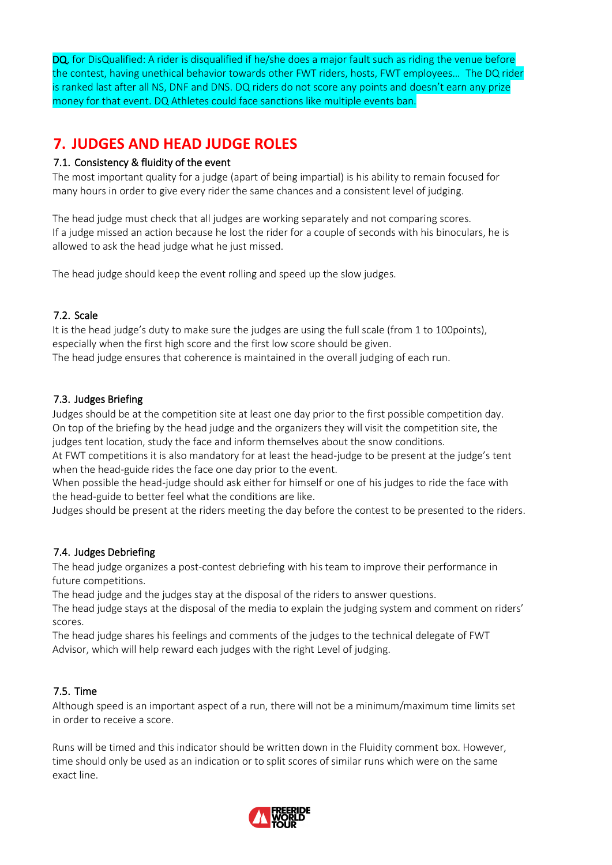DQ, for DisQualified: A rider is disqualified if he/she does a major fault such as riding the venue before the contest, having unethical behavior towards other FWT riders, hosts, FWT employees… The DQ rider is ranked last after all NS, DNF and DNS. DQ riders do not score any points and doesn't earn any prize money for that event. DQ Athletes could face sanctions like multiple events ban.

### <span id="page-18-0"></span>**7. JUDGES AND HEAD JUDGE ROLES**

### <span id="page-18-1"></span>7.1. Consistency & fluidity of the event

The most important quality for a judge (apart of being impartial) is his ability to remain focused for many hours in order to give every rider the same chances and a consistent level of judging.

The head judge must check that all judges are working separately and not comparing scores. If a judge missed an action because he lost the rider for a couple of seconds with his binoculars, he is allowed to ask the head judge what he just missed.

The head judge should keep the event rolling and speed up the slow judges.

### <span id="page-18-2"></span>7.2. Scale

It is the head judge's duty to make sure the judges are using the full scale (from 1 to 100points), especially when the first high score and the first low score should be given. The head judge ensures that coherence is maintained in the overall judging of each run.

### <span id="page-18-3"></span>7.3. Judges Briefing

Judges should be at the competition site at least one day prior to the first possible competition day. On top of the briefing by the head judge and the organizers they will visit the competition site, the judges tent location, study the face and inform themselves about the snow conditions.

At FWT competitions it is also mandatory for at least the head-judge to be present at the judge's tent when the head-guide rides the face one day prior to the event.

When possible the head-judge should ask either for himself or one of his judges to ride the face with the head-guide to better feel what the conditions are like.

Judges should be present at the riders meeting the day before the contest to be presented to the riders.

### <span id="page-18-4"></span>7.4. Judges Debriefing

The head judge organizes a post-contest debriefing with his team to improve their performance in future competitions.

The head judge and the judges stay at the disposal of the riders to answer questions.

The head judge stays at the disposal of the media to explain the judging system and comment on riders' scores.

The head judge shares his feelings and comments of the judges to the technical delegate of FWT Advisor, which will help reward each judges with the right Level of judging.

### <span id="page-18-5"></span>7.5. Time

Although speed is an important aspect of a run, there will not be a minimum/maximum time limits set in order to receive a score.

Runs will be timed and this indicator should be written down in the Fluidity comment box. However, time should only be used as an indication or to split scores of similar runs which were on the same exact line.

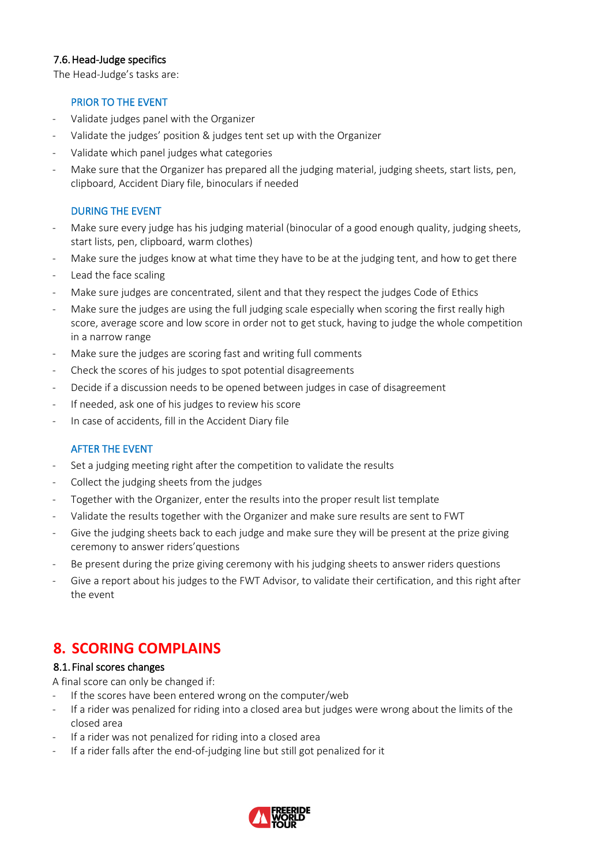### <span id="page-19-0"></span>7.6.Head-Judge specifics

The Head-Judge's tasks are:

### PRIOR TO THE EVENT

- Validate judges panel with the Organizer
- Validate the judges' position & judges tent set up with the Organizer
- Validate which panel judges what categories
- Make sure that the Organizer has prepared all the judging material, judging sheets, start lists, pen, clipboard, Accident Diary file, binoculars if needed

### DURING THE EVENT

- Make sure every judge has his judging material (binocular of a good enough quality, judging sheets, start lists, pen, clipboard, warm clothes)
- Make sure the judges know at what time they have to be at the judging tent, and how to get there
- Lead the face scaling
- Make sure judges are concentrated, silent and that they respect the judges Code of Ethics
- Make sure the judges are using the full judging scale especially when scoring the first really high score, average score and low score in order not to get stuck, having to judge the whole competition in a narrow range
- Make sure the judges are scoring fast and writing full comments
- Check the scores of his judges to spot potential disagreements
- Decide if a discussion needs to be opened between judges in case of disagreement
- If needed, ask one of his judges to review his score
- In case of accidents, fill in the Accident Diary file

### AFTER THE EVENT

- Set a judging meeting right after the competition to validate the results
- Collect the judging sheets from the judges
- Together with the Organizer, enter the results into the proper result list template
- Validate the results together with the Organizer and make sure results are sent to FWT
- Give the judging sheets back to each judge and make sure they will be present at the prize giving ceremony to answer riders'questions
- Be present during the prize giving ceremony with his judging sheets to answer riders questions
- Give a report about his judges to the FWT Advisor, to validate their certification, and this right after the event

### <span id="page-19-1"></span>**8. SCORING COMPLAINS**

### <span id="page-19-2"></span>8.1. Final scores changes

A final score can only be changed if:

- If the scores have been entered wrong on the computer/web
- If a rider was penalized for riding into a closed area but judges were wrong about the limits of the closed area
- If a rider was not penalized for riding into a closed area
- If a rider falls after the end-of-judging line but still got penalized for it